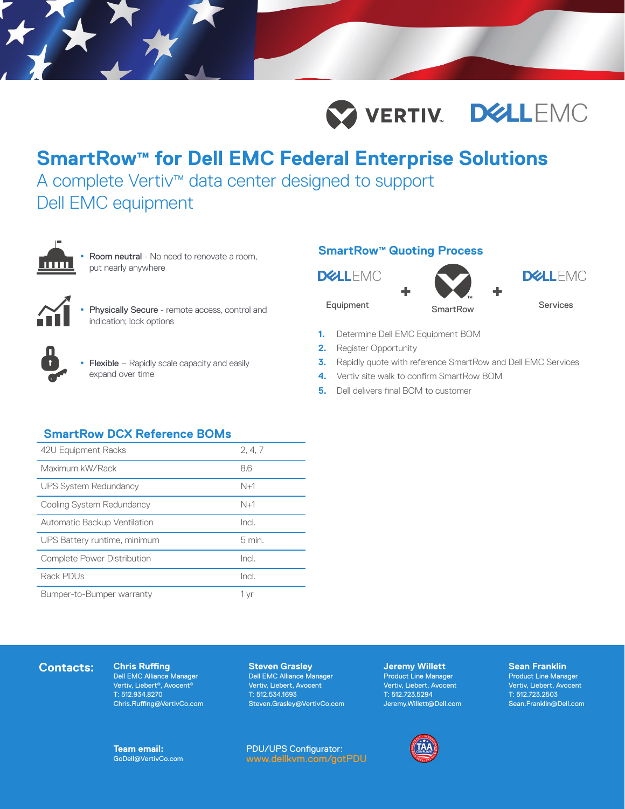

# **SmartRow™ for Dell EMC Federal Enterprise Solutions**

A complete Vertiv™ data center designed to support Dell EMC equipment



 Room neutral - No need to renovate a room, put nearly anywhere



 Physically Secure - remote access, control and indication; lock options



• Flexible – Rapidly scale capacity and easily expand over time

## **SmartRow™ Quoting Process**

**DELLEMC** 





- **1.** Determine Dell EMC Equipment BOM
- **2.** Register Opportunity
- **3.** Rapidly quote with reference SmartRow and Dell EMC Services
- **4.** Vertiv site walk to confirm SmartRow BOM
- **5.** Dell delivers final BOM to customer

# **SmartRow DCX Reference BOMs**

| 42U Equipment Racks                | 2, 4, 7  |
|------------------------------------|----------|
| Maximum kW/Rack                    | 8.6      |
| <b>UPS System Redundancy</b>       | $N+1$    |
| Cooling System Redundancy          | $N+1$    |
| Automatic Backup Ventilation       | Incl.    |
| UPS Battery runtime, minimum       | $5$ min. |
| <b>Complete Power Distribution</b> | Incl.    |
| Rack PDUs                          | Incl.    |
| Bumper-to-Bumper warranty          | 1 yr     |

## **Contacts:** Chris Ruffing

Dell EMC Alliance Manager Vertiv, Liebert®, Avocent® T: 512.934.8270 Chris.Ruffing@VertivCo.com

### **Steven Grasley**

Dell EMC Alliance Manager Vertiv, Liebert, Avocent T: 512.534.1693 Steven.Grasley@VertivCo.com **Jeremy Willett** Product Line Manager Vertiv, Liebert, Avocent T: 512.723.5294 Jeremy.Willett@Dell.com



#### **Sean Franklin** Product Line Manager Vertiv, Liebert, Avocent T: 512.723.2503 Sean.Franklin@Dell.com

**Team email:** GoDell@VertivCo.com PDU/UPS Configurator: www.dellkvm.com/gotPDU